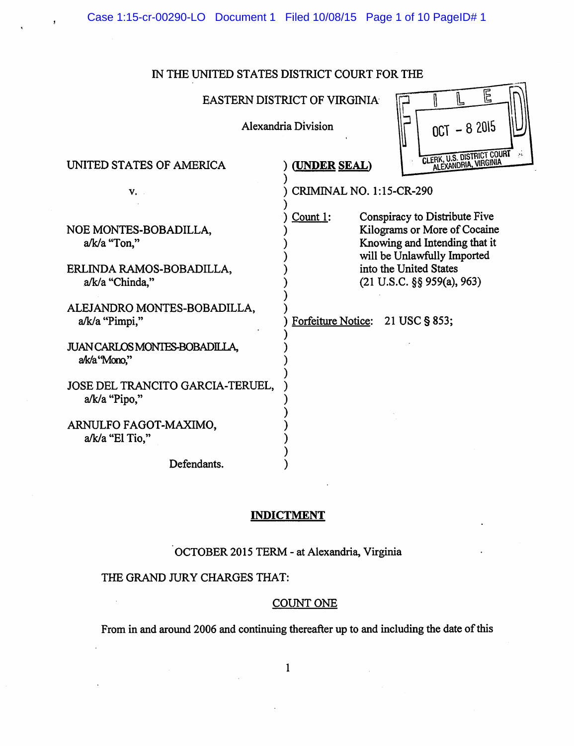Case 1:15-cr-00290-LO Document 1 Filed 10/08/15 Page 1 of 10 PageID# 1

# IN THE UNITED STATES DISTRICT COURT FOR THE

EASTERN DISTRICT OF VIRGINIA  $\Box$   $\Box$ 

)

) ) ) ) ) ) )

) ) ) ) ) ) ) ) ) ) )



# UNITED STATES OF AMERICA

v.

NOE MONTES-BOBADILLA, a/k/a "Ton,"

- ERLINDA RAMOS-BOBADILLA, .a/k/a "Chinda,"
- ALEJANDRO MONTES-BOBADILLA, a/k/a "Pimpi,"
- JUAN CARLOS MONTES-BOBADILLA, alk/a ''Mono,"
- JOSE DEL TRANCITO GARCIA-TERUEL, a/k/a "Pipo,"
- ARNULFO FAGOT-MAXIMO, a/k/a "El Tio,"

Defendants.

) ) CRIMINAL NO. 1: 15-CR-290

) **(UNDER SEAL)** 

Count 1: Conspiracy to Distribute Five Kilograms or More of Cocaine Knowing and Intending that it will be Unlawfully Imported into the United States (21 U.S.C. §§ 959(a), 963)

) Forfeiture Notice: 21 USC§ 853;

### **INDICTMENT**

OCTOBER 2015 TERM - at Alexandria, Virginia

# THE GRAND JURY CHARGES THAT:

#### COUNTONE

From in and around 2006 and continuing thereafter up to and including the date of this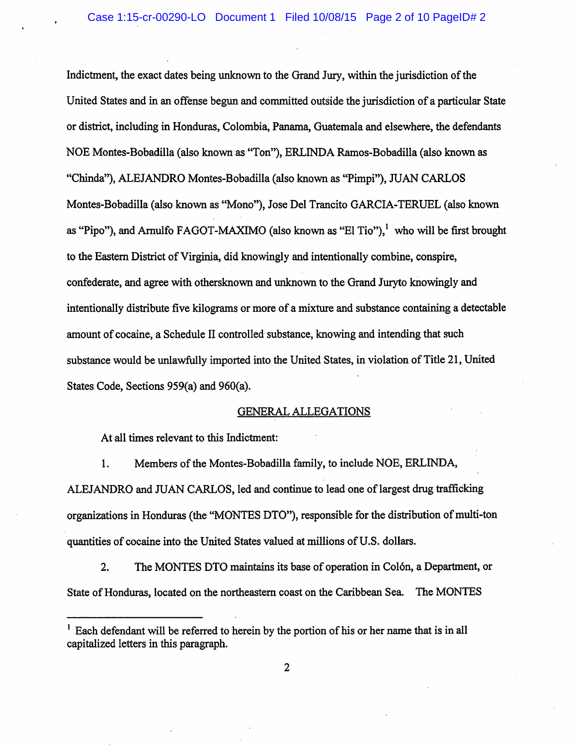Indictment, the exact dates being unknown to the Grand Jury, within the jurisdiction of the United States and in an offense begun and committed outside the jurisdiction of a particular State or district, including in Honduras, Colombia, Panama, Guatemala and elsewhere, the defendants NOE Montes-Bobadilla (also known as "Ton"), ERLINDA Ramos-Bobadilla (also known as "Chinda"), ALEJANDRO Montes-Bobadilla (also known as "Pimpi"), JUAN CARLOS Montes-Bobadilla (also known as "Mono"), Jose Del Trancito GARCIA-TERUEL (also known as "Pipo"), and Arnulfo FAGOT-MAXIMO (also known as "El Tio"), who will be first brought to the Eastern District of Virginia, did knowingly and intentionally combine, conspire, confederate, and agree with othersknown and unknown to the Grand Juryto knowingly and intentionally distribute five kilograms or more of a mixture and substance containing a detectable amount of cocaine, a Schedule II controlled substance, knowing and intending that such substance would be unlawfully imported into the United States, in violation of Title 21, United States Code, Sections 959(a) and 960(a).

# GENERAL ALLEGATIONS

At all times relevant to this Indictment:

I. Members of the Montes-Bobadilla family, to include NOE, ERLINDA, ALEJANDRO and JUAN CARLOS, led and continue to lead one of largest drug trafficking organizations in Honduras (the "MONTES DTO"), responsible for the distribution of multi-ton quantities of cocaine into the United States valued at millions of U.S. dollars.

2. The MONTES DTO maintains its base of operation in Colón, a Department, or State of Honduras, located on the northeastern coast on the Caribbean Sea. The MONTES

<sup>&</sup>lt;sup>1</sup> Each defendant will be referred to herein by the portion of his or her name that is in all capitalized letters in this paragraph.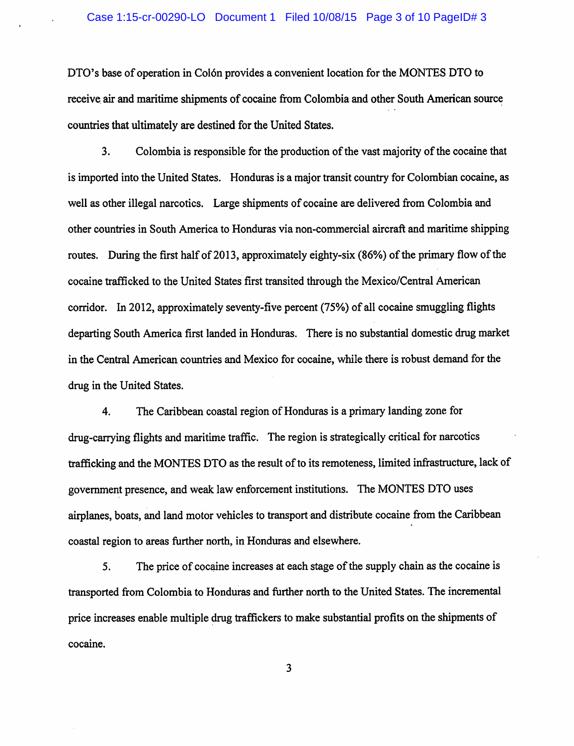#### Case 1:15-cr-00290-LO Document 1 Filed 10/08/15 Page 3 of 10 PageID# 3

DTO's base of operation in Colón provides a convenient location for the MONTES DTO to receive air and maritime shipments of cocaine from Colombia and other South American source countries that ultimately are destined for the United States.

3. Colombia is responsible for the production of the vast majority of the cocaine that is imported into the United States. Honduras is a major transit country for Colombian cocaine, as well as other illegal narcotics. Large shipments of cocaine are delivered from Colombia and other countries in South America to Honduras via non-commercial aircraft and maritime shipping routes. During the first half of 2013, approximately eighty-six (86%) of the primary flow of the cocaine trafficked to the United States first transited through the Mexico/Central American corridor. In 2012, approximately seventy-five percent (75%) of all cocaine smuggling flights departing South America first landed in Honduras. There is no substantial domestic drug market in the Central American countries and Mexico for cocaine, while there is robust demand for the drug in the United States.

4. The Caribbean coastal region of Honduras is a primary landing zone for drug-carrying flights and maritime traffic. The region is strategically crjtical for narcotics trafficking and the MONTES DTO as the result of to its remoteness, limited infrastructure, lack of government presence, and weak law enforcement institutions. The MONTES DTO uses airplanes, boats, and land motor vehicles to transport and distribute cocaine from the Caribbean coastal region to areas further north, in Honduras and elsewhere.

5. The price of cocaine increases at each stage of the supply chain as the cocaine is transported from Colombia to Honduras and further north to the United States. The incremental price increases enable multiple drug traffickers to make substantial profits on the shipments of cocaine.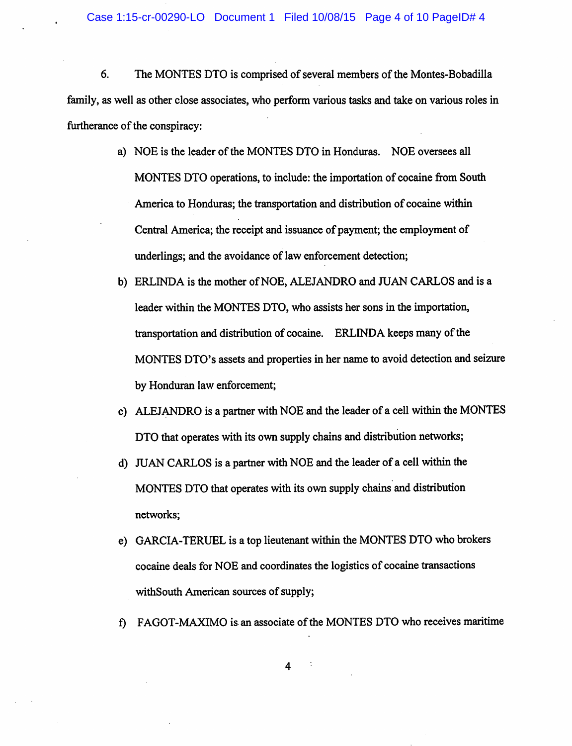6. The MONTES DTO is comprised of several members of the Montes-Bobadilla family, as well as other close associates, who perform various tasks and take on various roles in furtherance of the conspiracy:

- a) NOE is the leader of the MONTES DTO in Honduras. NOE oversees all MONTES OTO operations, to include: the importation of cocaine from South America to Honduras; the transportation and distribution of cocaine within Central America; the receipt and issuance of payment; the employment of underlings; and the avoidance of law enforcement detection;
- b) ERLINDA is the mother ofNOE, ALEJANDRO and JUAN **CARLOS** and is a leader within the MONTES OTO, who assists her sons in the importation, transportation and distribution of cocaine. ERLINDA keeps many of the MONTES DTO's assets and properties in her name to avoid detection and seizure by Honduran law enforcement;
- c) ALEJANDRO is a partner with NOE and the leader of a cell within the MONTES OTO that operates with its own supply chains and distribution networks;
- d) JUAN CARLOS is a partner with NOE and the leader of a cell within the MONTES DTO that operates with its own supply chains and distribution networks;
- e) GARCIA-TERUEL is a top lieutenant within the MONTES OTO who brokers cocaine deals for NOE and coordinates the logistics of cocaine transactions withSouth American sources of supply;
- f) FAGOT-MAXIMO is.an associate of the MONTES OTO who receives maritime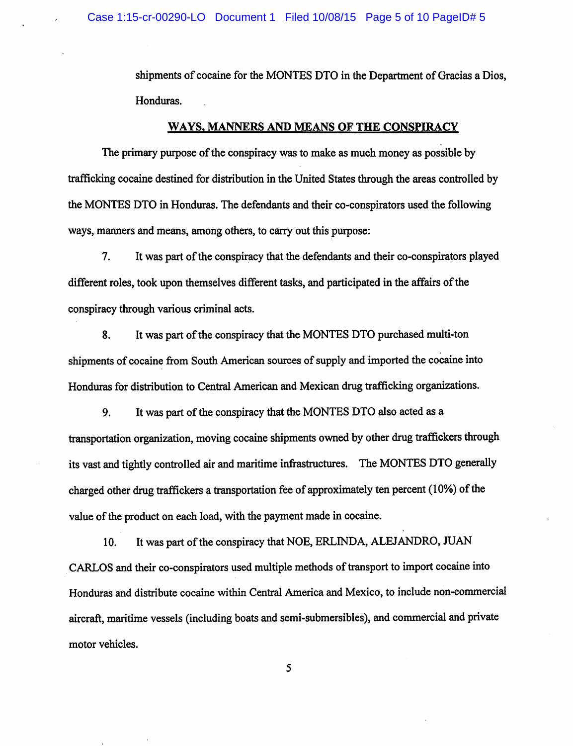shipments of cocaine for the MONTES DTO in the Department of Gracias a Dios, Honduras.

#### **WAYS, MANNERS AND MEANS OF THE CONSPIRACY**

The primary purpose of the conspiracy was to make as much money as possible by trafficking cocaine destined for distribution in the United States through the areas controlled by the MONTES DTO in Honduras. The defendants and their co-conspirators used the following ways, manners and means, among others, to carry out this purpose:

7. It was part of the conspiracy that the defendants and their co-conspirators played different roles, took upon themselves different tasks, and participated in the affairs of the conspiracy through various criminal acts.

8. It was part of the conspiracy that the MONTES DTO purchased multi-ton shipments of cocaine from South American sources of supply and imported the cocaine into Honduras for distribution to Central American and Mexican drug trafficking organizations.

9. It was part of the conspiracy that the MONTES DTO also acted as a transportation organization, moving cocaine shipments owned by other drug traffickers through its vast and tightly controlled air and maritime infrastructures. The MONTES DTO generally charged other drug traffickers a transportation fee of approximately ten percent (10%) of the value of the product on each load, with the payment made in cocaine.

10. It was part of the conspiracy that NOE, ERLINDA, ALEJANDRO, JUAN CARLOS and their co-conspirators used multiple methods of transport to import cocaine into Honduras and distribute cocaine within Central America and Mexico, to include non-commercial aircraft, maritime vessels (including boats and semi-submersibles), and commercial and private motor vehicles.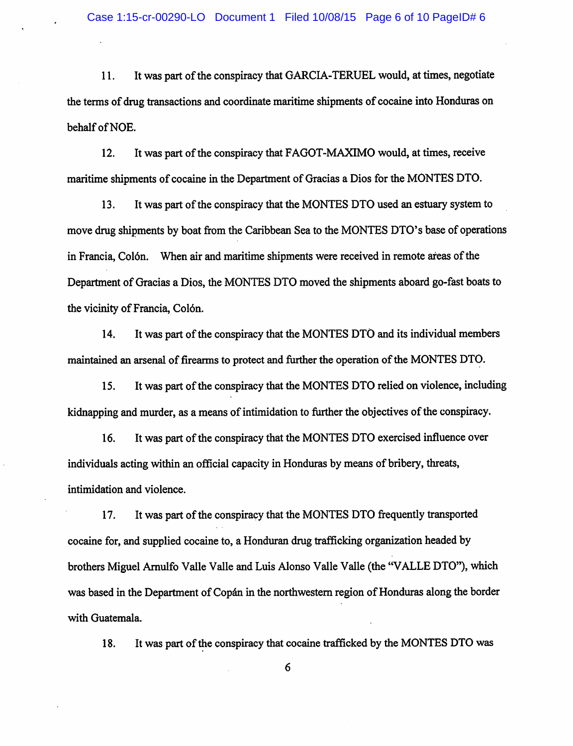11. It was part of the conspiracy that GARCIA-TERUEL would, at times, negotiate the terms of drug transactions and coordinate maritime shipments of cocaine into Honduras on behalf of NOE.

12. It was part of the conspiracy that FAGOT-MAXIMO would, at times, receive maritime shipments of cocaine in the Department of Gracias a Dios for the MONTES DTO.

13. It was part of the conspiracy that the MONTES DTO used an estuary system to move drug shipments by boat from the Caribbean Sea to the MONTES DTO's base of operations in Francia, Col6n. When air and maritime shipments were received in remote areas of the Department of Gracias a Dios, the MONTES DTO moved the shipments aboard go-fast boats to the vicinity of Francia, Colón.

14. It was part of the conspiracy that the MONTES DTO and its individual members maintained an arsenal of firearms to protect and further the operation of the MONTES DTO.

15. It was part of the conspiracy that the MONTES DTO relied on violence, including kidnapping and murder, as a means of intimidation to further the objectives of the conspiracy.

16. It was part of the conspiracy that the MONTES DTO exercised influence over individuals acting within an official capacity in Honduras by means of bribery, threats, intimidation and violence.

17. It was part of the conspiracy that the MONTES DTO frequently transported cocaine for, and supplied cocaine to, a Honduran drug trafficking organization headed by brothers Miguel Arnulfo Valle Valle and Luis Alonso Valle Valle (the "VALLE DTO"), which was based in the Department of Copán in the northwestern region of Honduras along the border with Guatemala.

18. It was part of the conspiracy that cocaine trafficked by the MONTES DTO was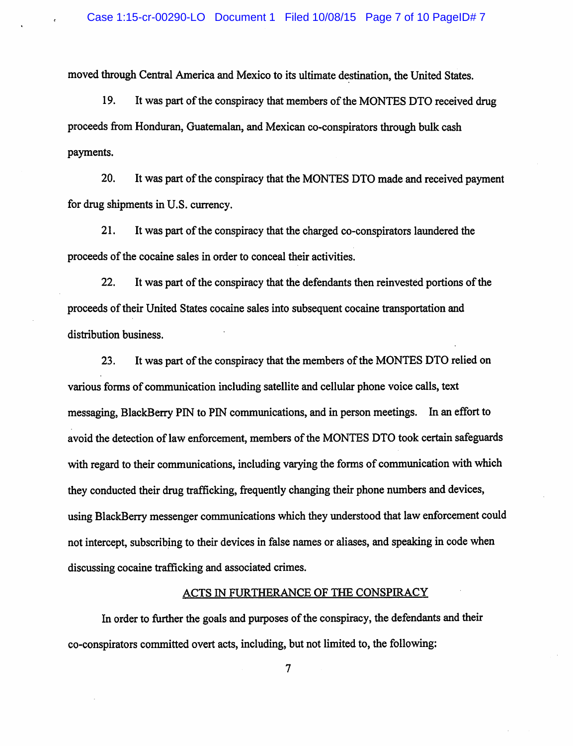moved through Central America and Mexico to its ultimate destination, the United States.

19. It was part of the conspiracy that members of the MONTES DTO received drug proceeds from Honduran, Guatemalan, and Mexican co-conspirators through bulk cash payments.

20. It was part of the conspiracy that the MONTES DTO made and received payment for drug shipments in U.S. currency.

21. It was part of the conspiracy that the charged co-conspirators laundered the proceeds of the cocaine sales in order to conceal their activities.

22. It was part of the conspiracy that the defendants then reinvested portions of the proceeds of their United States cocaine sales into subsequent cocaine transportation and distribution business.

23. It was part of the conspiracy that the members of the MONTES DTO relied on various forms of communication including satellite and cellular phone voice calls, text messaging, BlackBerry PIN to PIN communications, and in person meetings. In an effort to avoid the detection of law enforcement, members of the MONTES DTO took certain safeguards with regard to their communications, including varying the forms of communication with which they conducted their drug trafficking, frequently changing their phone numbers and devices, using BlackBerry messenger communications which they understood that law enforcement could not intercept, subscribing to their devices in false names or aliases, and speaking in code when discussing cocaine trafficking and associated crimes.

#### ACTS IN FURTHERANCE OF THE CONSPIRACY

In order to further the goals and purposes of the conspiracy, the defendants and their co-conspirators committed overt acts, including, but not limited to, the following: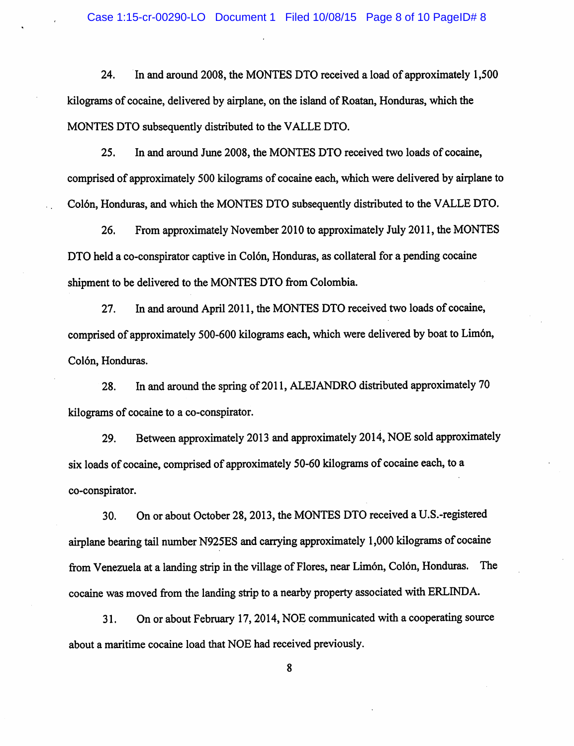24. In and around 2008, the MONTES DTO received a load of approximately 1,500 kilograms of cocaine, delivered by airplane, on the island of Roatan, Honduras, which the MONTES DTO subsequently distributed to the VALLE DTO.

25. In and around June 2008, the MONTES DTO received two loads of cocaine, comprised of approximately 500 kilograms of cocaine each, which were delivered by airplane to Col6n, Honduras, and which the MONTES DTO subsequently distributed to the VALLE DTO.

26. From approximately November 2010 to approximately July 2011, the MONTES DTO held a co-conspirator captive in Colón, Honduras, as collateral for a pending cocaine shipment to be delivered to the MONTES DTO from Colombia.

27. In and around April 2011, the MONTES DTO received two loads of cocaine, comprised of approximately 500-600 kilograms each, which were delivered by boat to Lim6n, Colón, Honduras.

28. In and around the spring of 2011, ALEJANDRO distributed approximately 70 kilograms of cocaine to a co-conspirator.

29. Between approximately 2013 and approximately 2014, NOE sold approximately six loads of cocaine, comprised of approximately 50-60 kilograms of cocaine each, to a co-conspirator.

30. On or about October 28, 2013, the MONTES DTO received a U.S.-registered airplane bearing tail number N925ES and carrying approximately 1,000 kilograms of cocaine from Venezuela at a landing strip in the village of Flores, near Limón, Colón, Honduras. The cocaine was moved from the landing strip to a nearby property associated with ERLINDA.

31. On or about February 17, 2014, NOE communicated with a cooperating source about a maritime cocaine load that NOE had received previously.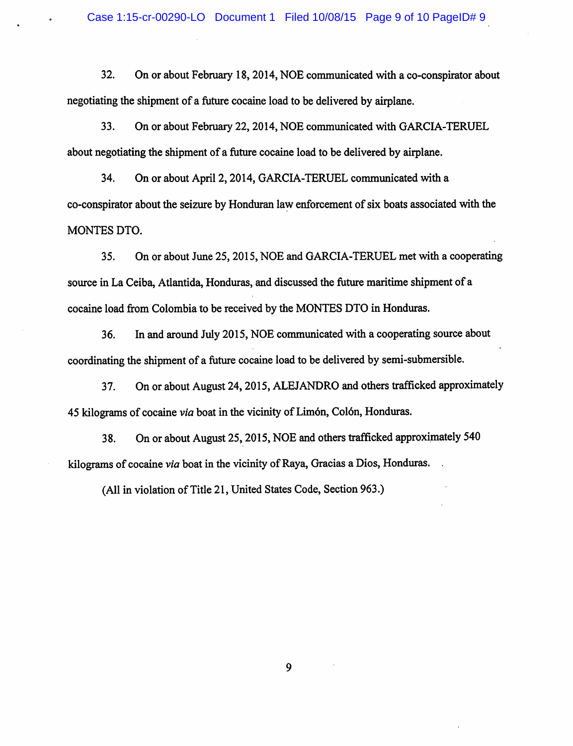#### Case 1:15-cr-00290-LO Document 1 Filed 10/08/15 Page 9 of 10 PageID# 9

32. On or about February 18, 2014, NOE communicated with a co-conspirator about negotiating the shipment of a future cocaine load to be delivered by airplane.

33. On or about February 22, 2014, NOE communicated with GARCIA-TERUEL about negotiating the shipment of a future cocaine load to be delivered by airplane.

34. On or about April 2, 2014, GARCIA-TERUEL communicated with a co-conspirator about the seizure by Honduran law enforcement of six boats associated with the MONTES DTO.

35. On or about June 25, 2015, NOE and GARCIA-TERUEL met with a cooperating source in La Ceiba, Atlantida, Honduras, and discussed the future maritime shipment of <sup>a</sup> cocaine load from Colombia to be received by the MONTES DTO in Honduras.

36. In and around July 2015, NOE communicated with a cooperating source about coordinating the shipment of a future cocaine load to be delivered by semi-submersible.

37. On or about August 24, 2015, ALEJANDRO and others trafficked approximately 45 kilograms of cocaine *via* boat in the vicinity of Limon, Col6n, Honduras.

38. On or about August 25, 2015, NOE and others trafficked approximately 540 kilograms of cocaine *via* boat in the vicinity of Raya, Gracias a Dios, Honduras.

(All in violation of Title 21, United States Code, Section 963.)